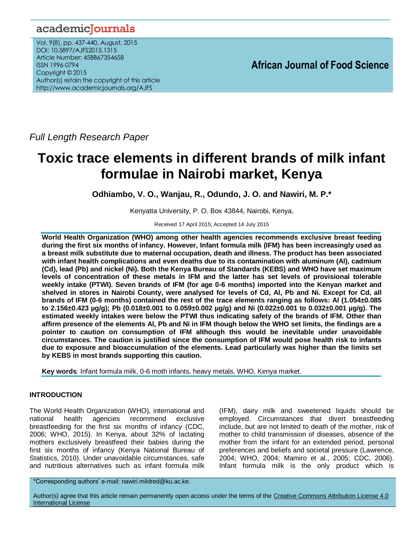## academicJournals

Vol. 9(8), pp. 437-440, August, 2015 DOI: 10.5897/AJFS2015.1315 Article Number: 45BB67354658 ISSN 1996-0794 Copyright © 2015 Author(s) retain the copyright of this article http://www.academicjournals.org/AJFS

*Full Length Research Paper*

# **Toxic trace elements in different brands of milk infant formulae in Nairobi market, Kenya**

**Odhiambo, V. O., Wanjau, R., Odundo, J. O. and Nawiri, M. P.\***

Kenyatta University, P. O. Box 43844, Nairobi, Kenya.

Received 17 April 2015; Accepted 14 July 2015

**World Health Organization (WHO) among other health agencies recommends exclusive breast feeding during the first six months of infancy. However, Infant formula milk (IFM) has been increasingly used as a breast milk substitute due to maternal occupation, death and illness. The product has been associated with infant health complications and even deaths due to its contamination with aluminum (Al), cadmium (Cd), lead (Pb) and nickel (Ni). Both the Kenya Bureau of Standards (KEBS) and WHO have set maximum levels of concentration of these metals in IFM and the latter has set levels of provisional tolerable weekly intake (PTWI). Seven brands of IFM (for age 0-6 months) imported into the Kenyan market and shelved in stores in Nairobi County, were analysed for levels of Cd, Al, Pb and Ni. Except for Cd, all brands of IFM (0-6 months) contained the rest of the trace elements ranging as follows: Al (1.054±0.085 to 2.156±0.423 µg/g); Pb (0.018±0.001 to 0.059±0.002 µg/g) and Ni (0.022±0.001 to 0.032±0.001 µg/g). The estimated weekly intakes were below the PTWI thus indicating safety of the brands of IFM. Other than affirm presence of the elements Al, Pb and Ni in IFM though below the WHO set limits, the findings are a pointer to caution on consumption of IFM although this would be inevitable under unavoidable circumstances. The caution is justified since the consumption of IFM would pose health risk to infants due to exposure and bioaccumulation of the elements. Lead particularly was higher than the limits set by KEBS in most brands supporting this caution.**

**Key words**: Infant formula milk, 0-6 moth infants, heavy metals, WHO, Kenya market.

## **INTRODUCTION**

The World Health Organization (WHO), international and national health agencies recommend exclusive breastfeeding for the first six months of infancy (CDC, 2006; WHO, 2015). In Kenya, about 32% of lactating mothers exclusively breastfeed their babies during the first six months of infancy (Kenya National Bureau of Statistics, 2010). Under unavoidable circumstances, safe and nutritious alternatives such as infant formula milk (IFM), dairy milk and sweetened liquids should be employed. Circumstances that divert breastfeeding include, but are not limited to death of the mother, risk of mother to child transmission of diseases, absence of the mother from the infant for an extended period, personal preferences and beliefs and societal pressure (Lawrence, 2004; WHO, 2004; Mamiro et al., 2005; CDC, 2006). Infant formula milk is the only product which is

\*Corresponding authors' e-mail: nawiri.mildred@ku.ac.ke.

Author(s) agree that this article remain permanently open access under the terms of the Creative Commons Attribution License 4.0 [International License](http://creativecommons.org/licenses/by/4.0/deed.en_US)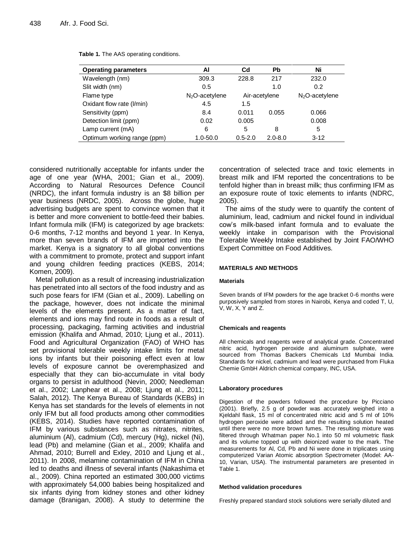| <b>Operating parameters</b> | ΑI               | Cd            | Pb          | Ni               |
|-----------------------------|------------------|---------------|-------------|------------------|
| Wavelength (nm)             | 309.3            | 228.8         | 217         | 232.0            |
| Slit width (nm)             | 0.5              |               | 1.0         | 0.2              |
| Flame type                  | $N2O$ -acetylene | Air-acetylene |             | $N2O$ -acetylene |
| Oxidant flow rate (I/min)   | 4.5              | 1.5           |             |                  |
| Sensitivity (ppm)           | 8.4              | 0.011         | 0.055       | 0.066            |
| Detection limit (ppm)       | 0.02             | 0.005         |             | 0.008            |
| Lamp current (mA)           | 6                | 5             | 8           | 5                |
| Optimum working range (ppm) | 1.0-50.0         | $0.5 - 2.0$   | $2.0 - 8.0$ | $3 - 12$         |

**Table 1.** The AAS operating conditions.

considered nutritionally acceptable for infants under the age of one year (WHA, 2001; Gian et al., 2009). According to Natural Resources Defence Council (NRDC), the infant formula industry is an \$8 billion per year business (NRDC, 2005). Across the globe, huge advertising budgets are spent to convince women that it is better and more convenient to bottle-feed their babies. Infant formula milk (IFM) is categorized by age brackets: 0-6 months, 7-12 months and beyond 1 year. In Kenya, more than seven brands of IFM are imported into the market. Kenya is a signatory to all global conventions with a commitment to promote, protect and support infant and young children feeding practices (KEBS, 2014; Komen, 2009).

Metal pollution as a result of increasing industrialization has penetrated into all sectors of the food industry and as such pose fears for IFM (Gian et al., 2009). Labelling on the package, however, does not indicate the minimal levels of the elements present. As a matter of fact, elements and ions may find route in foods as a result of processing, packaging, farming activities and industrial emission (Khalifa and Ahmad, 2010; Ljung et al., 2011). Food and Agricultural Organization (FAO) of WHO has set provisional tolerable weekly intake limits for metal ions by infants but their poisoning effect even at low levels of exposure cannot be overemphasized and especially that they can bio-accumulate in vital body organs to persist in adulthood (Nevin, 2000; Needleman et al., 2002; Lanphear et al., 2008; Ljung et al., 2011; Salah, 2012). The Kenya Bureau of Standards (KEBs) in Kenya has set standards for the levels of elements in not only IFM but all food products among other commodities (KEBS, 2014). Studies have reported contamination of IFM by various substances such as nitrates, nitrites, aluminium (Al), cadmium (Cd), mercury (Hg), nickel (Ni), lead (Pb) and melamine (Gian et al., 2009; Khalifa and Ahmad, 2010; Burrell and Exley, 2010 and Ljung et al., 2011). In 2008, melamine contamination of IFM in China led to deaths and illness of several infants (Nakashima et al., 2009). China reported an estimated 300,000 victims with approximately 54,000 babies being hospitalized and six infants dying from kidney stones and other kidney damage (Branigan, 2008). A study to determine the concentration of selected trace and toxic elements in breast milk and IFM reported the concentrations to be tenfold higher than in breast milk; thus confirming IFM as an exposure route of toxic elements to infants (NDRC, 2005).

The aims of the study were to quantify the content of aluminium, lead, cadmium and nickel found in individual cow's milk-based infant formula and to evaluate the weekly intake in comparison with the Provisional Tolerable Weekly Intake established by Joint FAO/WHO Expert Committee on Food Additives.

## **MATERIALS AND METHODS**

## **Materials**

Seven brands of IFM powders for the age bracket 0-6 months were purposively sampled from stores in Nairobi, Kenya and coded T, U, V, W, X, Y and Z.

## **Chemicals and reagents**

All chemicals and reagents were of analytical grade. Concentrated nitric acid, hydrogen peroxide and aluminum sulphate, were sourced from Thomas Backers Chemicals Ltd Mumbai India. Standards for nickel, cadmium and lead were purchased from Fluka Chemie GmbH Aldrich chemical company, INC, USA.

## **Laboratory procedures**

Digestion of the powders followed the procedure by Picciano (2001). Briefly, 2.5 g of powder was accurately weighed into a Kjeldahl flask, 15 ml of concentrated nitric acid and 5 ml of 10% hydrogen peroxide were added and the resulting solution heated until there were no more brown fumes. The resulting mixture was filtered through Whatman paper No.1 into 50 ml volumetric flask and its volume topped up with deionized water to the mark. The measurements for Al, Cd, Pb and Ni were done in triplicates using computerized Varian Atomic absorption Spectrometer (Model: AA-10, Varian, USA). The instrumental parameters are presented in Table 1.

#### **Method validation procedures**

Freshly prepared standard stock solutions were serially diluted and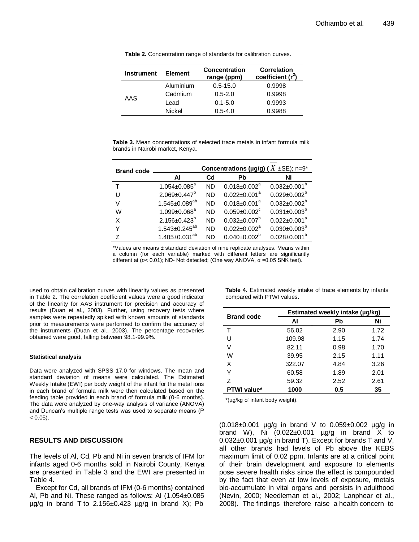| <b>Instrument</b> | <b>Element</b> | <b>Concentration</b><br>range (ppm) | <b>Correlation</b><br>coefficient $(r^2)$ |
|-------------------|----------------|-------------------------------------|-------------------------------------------|
| AAS               | Aluminium      | $0.5 - 15.0$                        | 0.9998                                    |
|                   | Cadmium        | $0.5 - 2.0$                         | 0.9998                                    |
|                   | Lead           | $0.1 - 5.0$                         | 0.9993                                    |
|                   | Nickel         | $0.5 - 4.0$                         | 0.9988                                    |

**Table 2.** Concentration range of standards for calibration curves.

**Table 3.** Mean concentrations of selected trace metals in infant formula milk brands in Nairobi market, Kenya.

| <b>Brand code</b> |                        | Concentrations (µg/g) ( $X \pm SE$ ); n=9* |                                |                     |  |
|-------------------|------------------------|--------------------------------------------|--------------------------------|---------------------|--|
|                   | Al                     | Cd                                         | Pb                             | Ni                  |  |
|                   | $1.054 \pm 0.085^a$    | <b>ND</b>                                  | $0.018 \pm 0.002^{\circ}$      | $0.032 \pm 0.001^b$ |  |
| U                 | $2.069 \pm 0.447^b$    | <b>ND</b>                                  | $0.022 \pm 0.001$ <sup>a</sup> | $0.029 \pm 0.002^b$ |  |
| v                 | $1.545 \pm 0.089^{ab}$ | <b>ND</b>                                  | $0.018 \pm 0.001^a$            | $0.032 \pm 0.002^b$ |  |
| W                 | $1.099 \pm 0.068^a$    | <b>ND</b>                                  | $0.059 \pm 0.002$ <sup>c</sup> | $0.031 \pm 0.003^b$ |  |
| x                 | $2.156 \pm 0.423^b$    | <b>ND</b>                                  | $0.032 \pm 0.007^b$            | $0.022 \pm 0.001^a$ |  |
|                   | $1.543 \pm 0.245^{ab}$ | <b>ND</b>                                  | $0.022 \pm 0.002^a$            | $0.030 \pm 0.003^b$ |  |
| 7                 | $1.405 \pm 0.031^{ab}$ | <b>ND</b>                                  | $0.040 \pm 0.002^b$            | $0.028 \pm 0.001^b$ |  |
|                   |                        |                                            |                                |                     |  |

\*Values are means ± standard deviation of nine replicate analyses. Means within a column (for each variable) marked with different letters are significantly different at (*p*< 0.01); ND- Not detected; (One way ANOVA, α =0.05 SNK test).

used to obtain calibration curves with linearity values as presented in Table 2. The correlation coefficient values were a good indicator of the linearity for AAS instrument for precision and accuracy of results (Duan et al., 2003). Further, using recovery tests where samples were repeatedly spiked with known amounts of standards prior to measurements were performed to confirm the accuracy of the instruments (Duan et al., 2003). The percentage recoveries obtained were good, falling between 98.1-99.9%.

#### **Statistical analysis**

Data were analyzed with SPSS 17.0 for windows. The mean and standard deviation of means were calculated. The Estimated Weekly Intake (EWI) per body weight of the infant for the metal ions in each brand of formula milk were then calculated based on the feeding table provided in each brand of formula milk (0-6 months). The data were analyzed by one-way analysis of variance (ANOVA) and Duncan's multiple range tests was used to separate means (P  $< 0.05$ ).

## **RESULTS AND DISCUSSION**

The levels of Al, Cd, Pb and Ni in seven brands of IFM for infants aged 0-6 months sold in Nairobi County, Kenya are presented in Table 3 and the EWI are presented in Table 4.

Except for Cd, all brands of IFM (0-6 months) contained Al, Pb and Ni. These ranged as follows: Al (1.054±0.085  $\mu$ g/g in brand T to 2.156 $\pm$ 0.423  $\mu$ g/g in brand X); Pb

**Table 4.** Estimated weekly intake of trace elements by infants compared with PTWI values.

| <b>Brand code</b>  | Estimated weekly intake (µg/kg) |      |      |  |
|--------------------|---------------------------------|------|------|--|
|                    | Al                              | Pb   | Ni   |  |
| т                  | 56.02                           | 2.90 | 1.72 |  |
| U                  | 109.98                          | 1.15 | 1.74 |  |
| V                  | 82.11                           | 0.98 | 1.70 |  |
| W                  | 39.95                           | 2.15 | 1.11 |  |
| X                  | 322.07                          | 4.84 | 3.26 |  |
| Y                  | 60.58                           | 1.89 | 2.01 |  |
| 7                  | 59.32                           | 2.52 | 2.61 |  |
| <b>PTWI value*</b> | 1000                            | 0.5  | 35   |  |

\*(µg/kg of infant body weight).

(0.018±0.001 µg/g in brand V to 0.059±0.002 µg/g in brand W), Ni  $(0.022 \pm 0.001$   $\mu$ g/g in brand X to 0.032±0.001 µg/g in brand T). Except for brands T and V, all other brands had levels of Pb above the KEBS maximum limit of 0.02 ppm. Infants are at a critical point of their brain development and exposure to elements pose severe health risks since the effect is compounded by the fact that even at low levels of exposure, metals bio-accumulate in vital organs and persists in adulthood (Nevin, 2000; Needleman et al., 2002; Lanphear et al., 2008). The findings therefore raise a health concern to